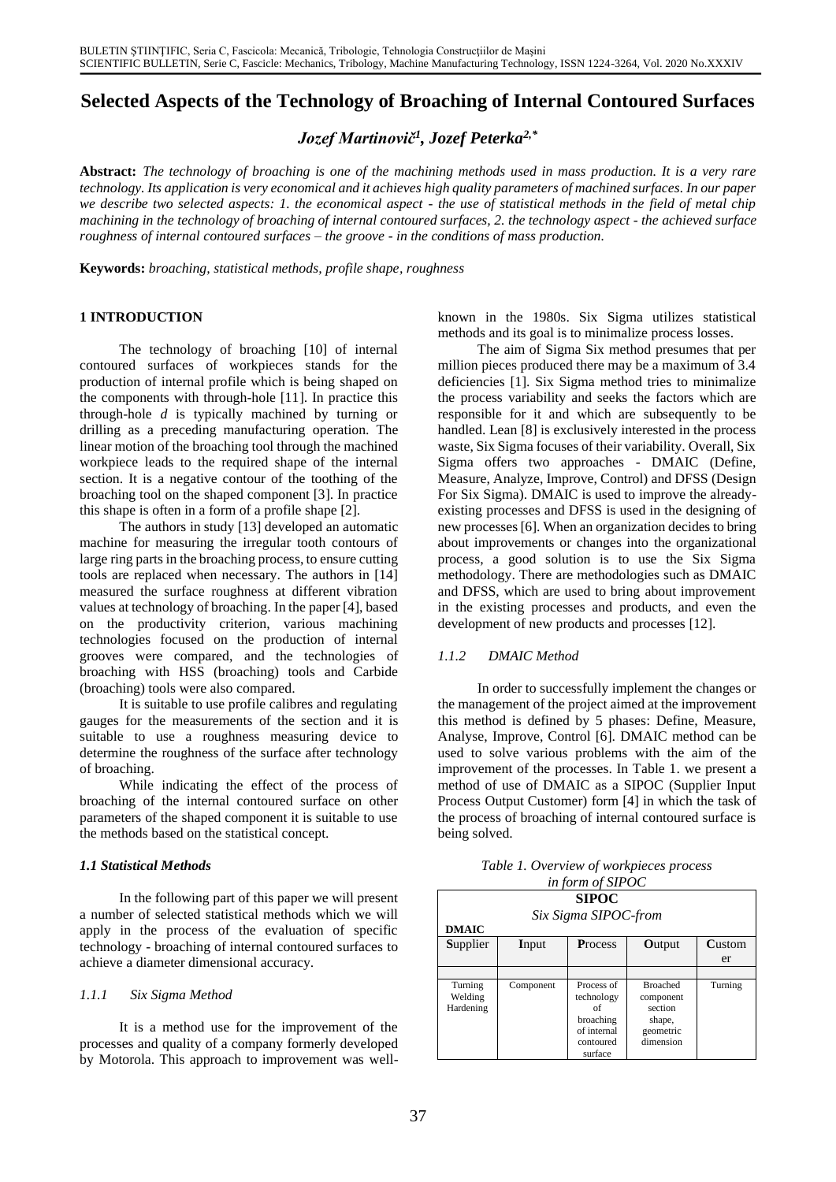# **Selected Aspects of the Technology of Broaching of Internal Contoured Surfaces**

*Jozef Martinovič<sup>1</sup> , Jozef Peterka2,\**

**Abstract:** *The technology of broaching is one of the machining methods used in mass production. It is a very rare technology. Its application is very economical and it achieves high quality parameters of machined surfaces. In our paper we describe two selected aspects: 1. the economical aspect - the use of statistical methods in the field of metal chip machining in the technology of broaching of internal contoured surfaces, 2. the technology aspect - the achieved surface roughness of internal contoured surfaces – the groove - in the conditions of mass production.*

**Keywords:** *broaching, statistical methods, profile shape, roughness*

# **1 INTRODUCTION**

The technology of broaching [10] of internal contoured surfaces of workpieces stands for the production of internal profile which is being shaped on the components with through-hole [11]. In practice this through-hole *d* is typically machined by turning or drilling as a preceding manufacturing operation. The linear motion of the broaching tool through the machined workpiece leads to the required shape of the internal section. It is a negative contour of the toothing of the broaching tool on the shaped component [3]. In practice this shape is often in a form of a profile shape [2].

The authors in study [13] developed an automatic machine for measuring the irregular tooth contours of large ring parts in the broaching process, to ensure cutting tools are replaced when necessary. The authors in [14] measured the surface roughness at different vibration values at technology of broaching. In the paper [4], based on the productivity criterion, various machining technologies focused on the production of internal grooves were compared, and the technologies of broaching with HSS (broaching) tools and Carbide (broaching) tools were also compared.

It is suitable to use profile calibres and regulating gauges for the measurements of the section and it is suitable to use a roughness measuring device to determine the roughness of the surface after technology of broaching.

While indicating the effect of the process of broaching of the internal contoured surface on other parameters of the shaped component it is suitable to use the methods based on the statistical concept.

# *1.1 Statistical Methods*

In the following part of this paper we will present a number of selected statistical methods which we will apply in the process of the evaluation of specific technology - broaching of internal contoured surfaces to achieve a diameter dimensional accuracy.

### *1.1.1 Six Sigma Method*

It is a method use for the improvement of the processes and quality of a company formerly developed by Motorola. This approach to improvement was wellknown in the 1980s. Six Sigma utilizes statistical methods and its goal is to minimalize process losses.

The aim of Sigma Six method presumes that per million pieces produced there may be a maximum of 3.4 deficiencies [1]. Six Sigma method tries to minimalize the process variability and seeks the factors which are responsible for it and which are subsequently to be handled. Lean [8] is exclusively interested in the process waste, Six Sigma focuses of their variability. Overall, Six Sigma offers two approaches - DMAIC (Define, Measure, Analyze, Improve, Control) and DFSS (Design For Six Sigma). DMAIC is used to improve the alreadyexisting processes and DFSS is used in the designing of new processes [6]. When an organization decides to bring about improvements or changes into the organizational process, a good solution is to use the Six Sigma methodology. There are methodologies such as DMAIC and DFSS, which are used to bring about improvement in the existing processes and products, and even the development of new products and processes [12].

# *1.1.2 DMAIC Method*

In order to successfully implement the changes or the management of the project aimed at the improvement this method is defined by 5 phases: Define, Measure, Analyse, Improve, Control [6]. DMAIC method can be used to solve various problems with the aim of the improvement of the processes. In Table 1. we present a method of use of DMAIC as a SIPOC (Supplier Input Process Output Customer) form [4] in which the task of the process of broaching of internal contoured surface is being solved.

| in form of SIPOC     |           |                |                 |         |
|----------------------|-----------|----------------|-----------------|---------|
| <b>SIPOC</b>         |           |                |                 |         |
| Six Sigma SIPOC-from |           |                |                 |         |
| <b>DMAIC</b>         |           |                |                 |         |
| Supplier             | Input     | <b>Process</b> | Output          | Custom  |
|                      |           |                |                 | er      |
|                      |           |                |                 |         |
| Turning              | Component | Process of     | <b>Broached</b> | Turning |
| Welding              |           | technology     | component       |         |
| Hardening            |           | of             | section         |         |
|                      |           | broaching      | shape,          |         |
|                      |           | of internal    | geometric       |         |
|                      |           | contoured      | dimension       |         |
|                      |           | surface        |                 |         |

*Table 1. Overview of workpieces process*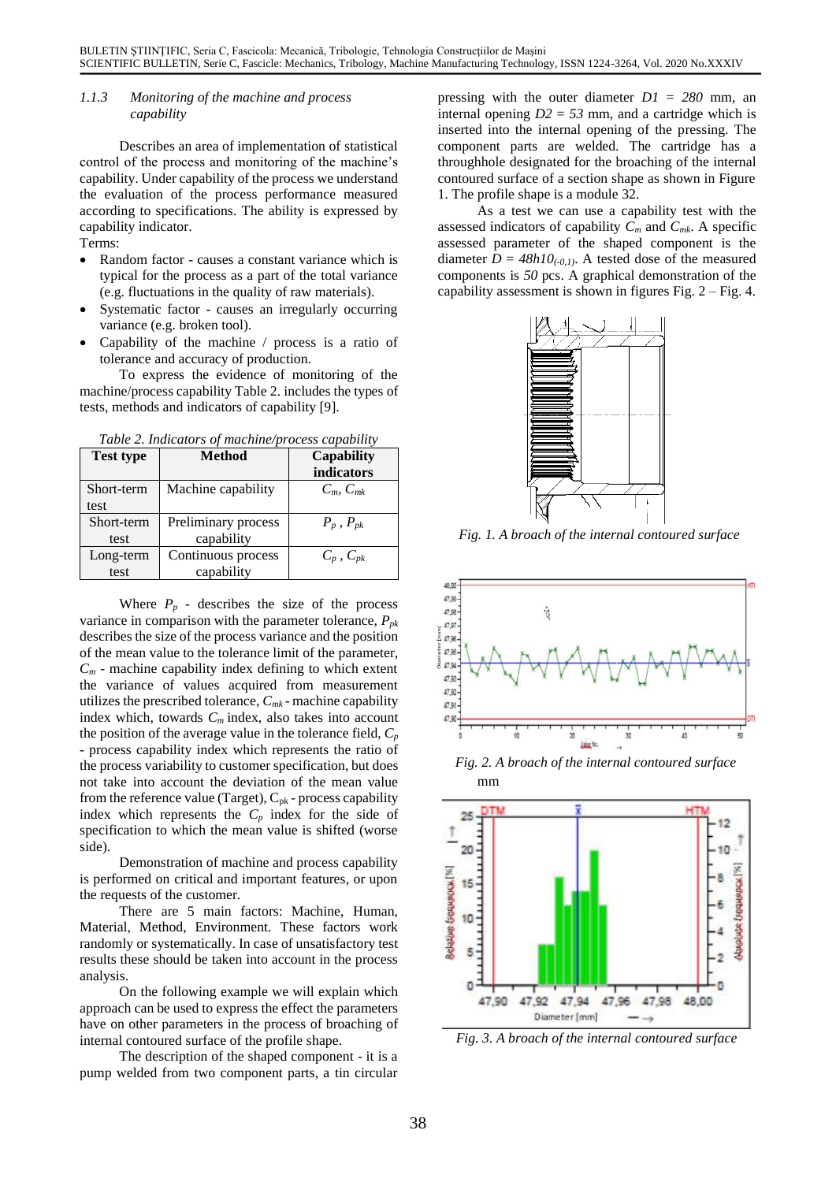## *1.1.3 Monitoring of the machine and process capability*

Describes an area of implementation of statistical control of the process and monitoring of the machine's capability. Under capability of the process we understand the evaluation of the process performance measured according to specifications. The ability is expressed by capability indicator.

Terms:

- Random factor causes a constant variance which is typical for the process as a part of the total variance (e.g. fluctuations in the quality of raw materials).
- Systematic factor causes an irregularly occurring variance (e.g. broken tool).
- Capability of the machine / process is a ratio of tolerance and accuracy of production.

To express the evidence of monitoring of the machine/process capability Table 2. includes the types of tests, methods and indicators of capability [9].

| <b>Test type</b> | Table 2. Indicators of machine/process capability<br><b>Method</b> | <b>Capability</b> |
|------------------|--------------------------------------------------------------------|-------------------|
|                  |                                                                    | indicators        |
| Short-term       | Machine capability                                                 | $C_m, C_{mk}$     |
| test             |                                                                    |                   |
| Short-term       | Preliminary process                                                | $P_p$ , $P_{pk}$  |
| test             | capability                                                         |                   |
| Long-term        | Continuous process                                                 | $C_p$ , $C_{pk}$  |
| test             | capability                                                         |                   |

*Table 2. Indicators of machine/process capability*

Where  $P_p$  - describes the size of the process variance in comparison with the parameter tolerance, *Ppk* describes the size of the process variance and the position of the mean value to the tolerance limit of the parameter,  $C_m$  - machine capability index defining to which extent the variance of values acquired from measurement utilizes the prescribed tolerance, *Cmk* - machine capability index which, towards *C<sup>m</sup>* index, also takes into account the position of the average value in the tolerance field,  $C_p$ - process capability index which represents the ratio of the process variability to customer specification, but does not take into account the deviation of the mean value from the reference value (Target),  $C_{pk}$  - process capability index which represents the  $C_p$  index for the side of specification to which the mean value is shifted (worse side).

Demonstration of machine and process capability is performed on critical and important features, or upon the requests of the customer.

There are 5 main factors: Machine, Human, Material, Method, Environment. These factors work randomly or systematically. In case of unsatisfactory test results these should be taken into account in the process analysis.

On the following example we will explain which approach can be used to express the effect the parameters have on other parameters in the process of broaching of internal contoured surface of the profile shape.

The description of the shaped component - it is a pump welded from two component parts, a tin circular

pressing with the outer diameter *D1* = *280* mm, an internal opening  $D2 = 53$  mm, and a cartridge which is inserted into the internal opening of the pressing. The component parts are welded. The cartridge has a throughhole designated for the broaching of the internal contoured surface of a section shape as shown in Figure 1. The profile shape is a module 32.

As a test we can use a capability test with the assessed indicators of capability *C<sup>m</sup>* and *Cmk*. A specific assessed parameter of the shaped component is the diameter  $D = 48h10$ <sub>(-0,1)</sub>. A tested dose of the measured components is *50* pcs. A graphical demonstration of the capability assessment is shown in figures Fig.  $2 - Fig. 4$ .



*Fig. 1. A broach of the internal contoured surface*



mm *Fig. 2. A broach of the internal contoured surface*



*Fig. 3. A broach of the internal contoured surface*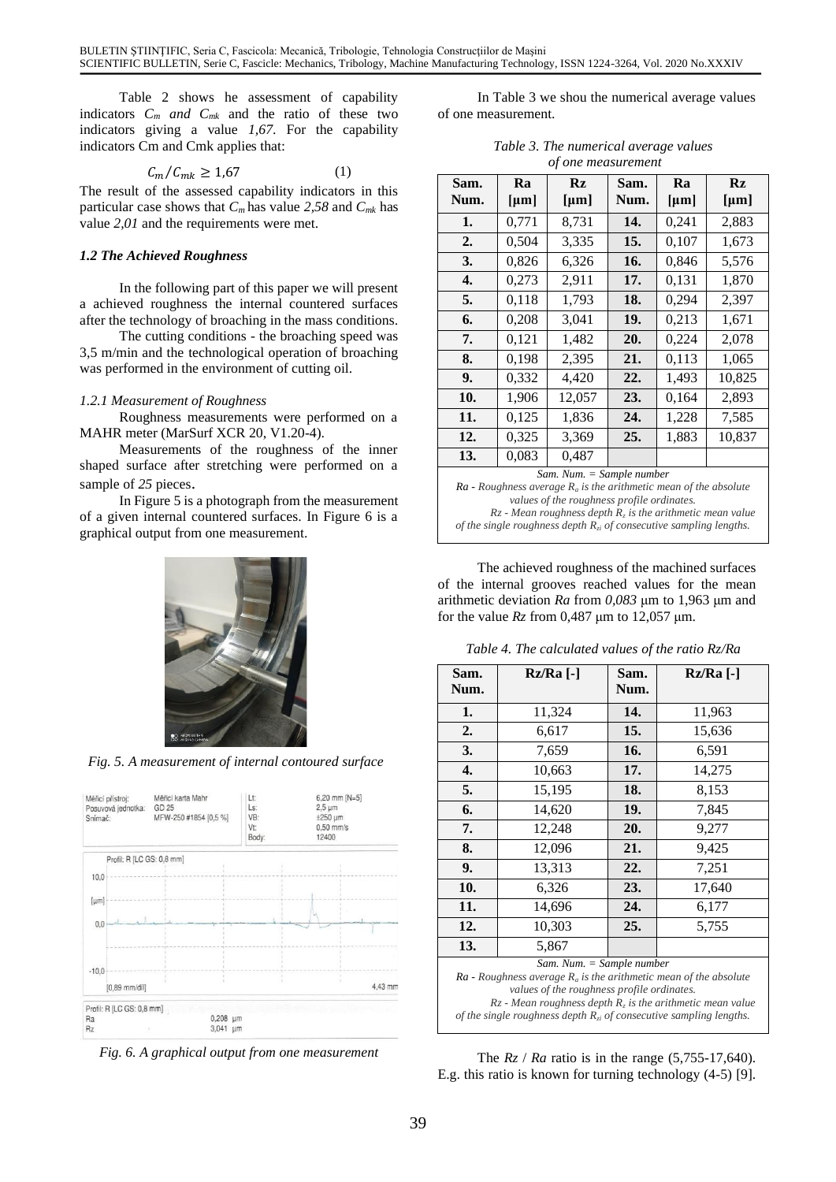Table 2 shows he assessment of capability indicators *C<sup>m</sup> and Cmk* and the ratio of these two indicators giving a value *1,67*. For the capability indicators Cm and Cmk applies that:

$$
C_m/C_{mk} \ge 1.67\tag{1}
$$

The result of the assessed capability indicators in this particular case shows that *C<sup>m</sup>* has value *2,58* and *Cmk* has value *2,01* and the requirements were met.

## *1.2 The Achieved Roughness*

In the following part of this paper we will present a achieved roughness the internal countered surfaces after the technology of broaching in the mass conditions.

The cutting conditions - the broaching speed was 3,5 m/min and the technological operation of broaching was performed in the environment of cutting oil.

## *1.2.1 Measurement of Roughness*

Roughness measurements were performed on a MAHR meter (MarSurf XCR 20, V1.20-4).

Measurements of the roughness of the inner shaped surface after stretching were performed on a sample of *25* pieces.

In Figure 5 is a photograph from the measurement of a given internal countered surfaces. In Figure 6 is a graphical output from one measurement.



*Fig. 5. A measurement of internal contoured surface*



*Fig. 6. A graphical output from one measurement*

In Table 3 we shou the numerical average values of one measurement.

| Table 3. The numerical average values |  |
|---------------------------------------|--|
| of one measurement                    |  |

| Sam.<br>Num.                                                                                                                                                                                                                                | Ra<br>${\mu}m$ ] | $\mathbf{R}z$<br>[µm] | Sam.<br>Num. | Ra<br>${\mu}m$ ] | Rz<br>[µm] |
|---------------------------------------------------------------------------------------------------------------------------------------------------------------------------------------------------------------------------------------------|------------------|-----------------------|--------------|------------------|------------|
| 1.                                                                                                                                                                                                                                          | 0,771            | 8,731                 | 14.          | 0,241            | 2,883      |
| 2.                                                                                                                                                                                                                                          | 0,504            | 3,335                 | 15.          | 0,107            | 1,673      |
| 3.                                                                                                                                                                                                                                          | 0,826            | 6,326                 | 16.          | 0,846            | 5,576      |
| 4.                                                                                                                                                                                                                                          | 0,273            | 2,911                 | 17.          | 0,131            | 1,870      |
| 5.                                                                                                                                                                                                                                          | 0,118            | 1,793                 | 18.          | 0,294            | 2,397      |
| 6.                                                                                                                                                                                                                                          | 0,208            | 3,041                 | 19.          | 0,213            | 1,671      |
| 7.                                                                                                                                                                                                                                          | 0,121            | 1,482                 | 20.          | 0,224            | 2,078      |
| 8.                                                                                                                                                                                                                                          | 0,198            | 2,395                 | 21.          | 0,113            | 1,065      |
| 9.                                                                                                                                                                                                                                          | 0,332            | 4,420                 | 22.          | 1,493            | 10,825     |
| 10.                                                                                                                                                                                                                                         | 1,906            | 12,057                | 23.          | 0,164            | 2,893      |
| 11.                                                                                                                                                                                                                                         | 0,125            | 1,836                 | 24.          | 1,228            | 7,585      |
| 12.                                                                                                                                                                                                                                         | 0,325            | 3,369                 | 25.          | 1,883            | 10,837     |
| 13.                                                                                                                                                                                                                                         | 0,083            | 0,487                 |              |                  |            |
| Sam. Num. = Sample number<br>$\mathbf{r}$<br>$\mathbf{r}$ , $\mathbf{r}$ , $\mathbf{r}$ , $\mathbf{r}$ , $\mathbf{r}$ , $\mathbf{r}$<br>$\mathcal{C}$ $\mathcal{I}$ $\mathcal{I}$ $\mathcal{I}$ $\mathcal{I}$<br>$\mathbf{r}$<br>$\sqrt{2}$ |                  |                       |              |                  |            |

*Ra - Roughness average R<sup>a</sup> is the arithmetic mean of the absolute values of the roughness profile ordinates. Rz - Mean roughness depth R<sup>z</sup> is the arithmetic mean value* 

*of the single roughness depth Rzi of consecutive sampling lengths.*

The achieved roughness of the machined surfaces of the internal grooves reached values for the mean arithmetic deviation *Ra* from *0,083* μm to 1,963 μm and for the value *Rz* from 0,487 μm to 12,057 μm.

| Sam.<br>Num.                                                                                                                                                                                                                                                                                   | $Rz/Ra$ [-] | Sam.<br>Num. | $Rz/Ra$ [-] |
|------------------------------------------------------------------------------------------------------------------------------------------------------------------------------------------------------------------------------------------------------------------------------------------------|-------------|--------------|-------------|
| 1.                                                                                                                                                                                                                                                                                             | 11,324      | 14.          | 11,963      |
| 2.                                                                                                                                                                                                                                                                                             | 6,617       | 15.          | 15,636      |
| 3.                                                                                                                                                                                                                                                                                             | 7,659       | 16.          | 6,591       |
| 4.                                                                                                                                                                                                                                                                                             | 10,663      | 17.          | 14,275      |
| 5.                                                                                                                                                                                                                                                                                             | 15,195      | 18.          | 8,153       |
| 6.                                                                                                                                                                                                                                                                                             | 14,620      | 19.          | 7,845       |
| 7.                                                                                                                                                                                                                                                                                             | 12,248      | 20.          | 9,277       |
| 8.                                                                                                                                                                                                                                                                                             | 12,096      | 21.          | 9,425       |
| 9.                                                                                                                                                                                                                                                                                             | 13,313      | 22.          | 7,251       |
| 10.                                                                                                                                                                                                                                                                                            | 6,326       | 23.          | 17,640      |
| 11.                                                                                                                                                                                                                                                                                            | 14,696      | 24.          | 6,177       |
| 12.                                                                                                                                                                                                                                                                                            | 10,303      | 25.          | 5,755       |
| 13.                                                                                                                                                                                                                                                                                            | 5,867       |              |             |
| Sam. Num. = Sample number<br>$Ra$ - Roughness average $R_a$ is the arithmetic mean of the absolute<br>values of the roughness profile ordinates.<br>$R_z$ - Mean roughness depth $R_z$ is the arithmetic mean value<br>of the single roughness depth $R_{zi}$ of consecutive sampling lengths. |             |              |             |

The *Rz* / *Ra* ratio is in the range (5,755-17,640). E.g. this ratio is known for turning technology (4-5) [9].